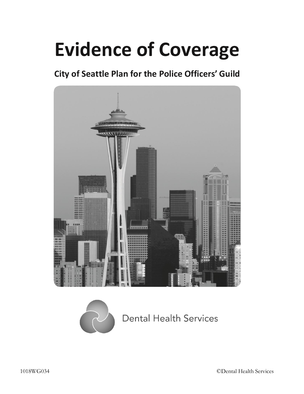# **Evidence of Coverage**

# **City of Seattle Plan for the Police Officers' Guild**





# **Dental Health Services**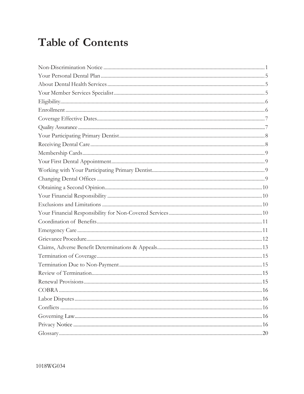# **Table of Contents**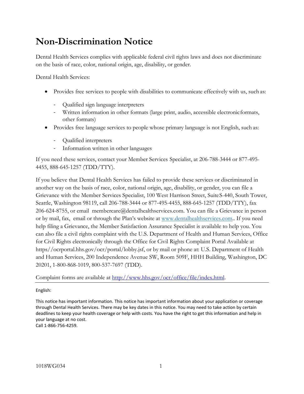# <span id="page-2-0"></span>**Non-Discrimination Notice**

Dental Health Services complies with applicable federal civil rights laws and does not discriminate on the basis of race, color, national origin, age, disability, or gender.

Dental Health Services:

- Provides free services to people with disabilities to communicate effectively with us, such as:
	- Qualified sign language interpreters
	- Written information in other formats (large print, audio, accessible electronicformats, other formats)
- Provides free language services to people whose primary language is not English, such as:
	- Qualified interpreters
	- Information written in other languages

If you need these services, contact your Member Services Specialist, at 206-788-3444 or 877-495- 4455, 888-645-1257 (TDD/TTY).

If you believe that Dental Health Services has failed to provide these services or discriminated in another way on the basis of race, color, national origin, age, disability, or gender, you can file a Grievance with the Member Services Specialist, 100 West Harrison Street, SuiteS-440, South Tower, Seattle, Washington 98119, call 206-788-3444 or 877-495-4455, 888-645-1257 (TDD/TTY), fax 206-624-8755, or email [membercare@dentalhealthservices.com.](mailto:DHaggerty@dentalhealthservices.com) You can file a Grievance in person or by mail, fax, email or through the Plan's website at [www.dentalhealthservices.com.](http://www.dentalhealthservices.com/). If you need help filing a Grievance, the Member Satisfaction Assurance Specialist is available to help you. You can also file a civil rights complaint with the U.S. Department of Health and Human Services, Office for Civil Rights electronically through the Office for Civil Rights Complaint Portal Available at https//ocrportal.hhs.gov/ocr/portal/lobby.jsf, or by mail or phone at: U.S. Department of Health and Human Services, 200 Independence Avenue SW, Room 509F, HHH Building, Washington, DC 20201, 1-800-868-1019, 800-537-7697 (TDD).

Complaint forms are available at [http://www.hhs.gov/ocr/office/file/index.html.](http://www.hhs.gov/ocr/office/file/index.html)

English:

This notice has important information. This notice has important information about your application or coverage through Dental Health Services. There may be key dates in this notice. You may need to take action by certain deadlines to keep your health coverage or help with costs. You have the right to get this information and help in your language at no cost.

Call 1-866-756-4259.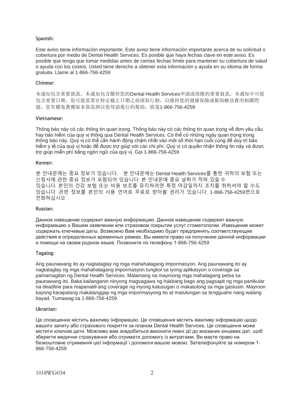#### Spanish:

Este aviso tiene información importante. Este aviso tiene información importante acerca de su solicitud o cobertura por medio de Dental Health Services. Es posible que haya fechas clave en este aviso. Es posible que tenga que tomar medidas antes de ciertas fechas límite para mantener su cobertura de salud o ayuda con los costos. Usted tiene derecho a obtener esta información y ayuda en su idioma de forma gratuita. Llame al 1-866-756-4259

#### Chinese:

本通知包含重要資訊。本通知包含關於您的Dental Health Services申請或保險的重要資訊。本通知中可能 包含重要日期。您可能需要在特定截止日期之前採取行動,以維持您的健康保險或幫助解決費用相關問 題。您有權免費獲取本資訊與以您母語進行的幫助。致電1-866-756-4259

#### Vietnamese:

Thông báo này có các thông tin quan trọng. Thông báo này có các thông tin quan trọng về đơn yêu cầu hay bảo hiểm của quý vị thông qua Dental Health Services. Có thể có những ngày quan trọng trong thông báo này. Quý vị có thể cần hành động chậm nhất vào một số thời hạn cuối cùng để duy trì bảo hiểm y tế của quý vị hoặc để được trợ giúp với các chi phí. Quý vị có quyền nhận thông tin này và được trợ giúp miễn phí bằng ngôn ngữ của quý vị. Gọi 1-866-756-4259

#### Korean:

본 안내문에는 중요 정보가 있습니다. 본 안내문에는 Dental Health Services를 통한 귀하의 보험 또는 신청서에 관한 중요 정보가 포함되어 있습니다. 본 안내문에 중요 날짜가 적혀 있을 수 있습니다. 본인의 건강 보험 또는 비용 보조를 유지하려면 특정 마감일까지 조치를 취하셔야 할 수도 있습니다. 관련 정보를 본인의 사용 언어로 무료로 받아볼 권리가 있습니다. 1-866-756-4259번으로 전화하십시오

#### Russian:

Данное извещение содержит важную информацию. Данное извещение содержит важную информацию о Вашем заявлении или страховом покрытии услуг стоматологии. Извещение может содержать ключевые даты. Возможно Вам необходимо будет предпринять соответствующие действия в определенных временных рамках. Вы имеете право на получение данной информации и помощи на своем родном языке. Позвоните по телефону 1-866-756-4259

#### Tagalog:

Ang paunawang ito ay nagtataglay ng mga mahahalagang impormasyon. Ang paunawang ito ay nagtataglay ng mga mahahalagang impormasyon tungkol sa iyong aplikasyon o coverage sa pamamagitan ng Dental Health Services. Malamang na mayroong mga mahalagang petsa sa paunawang ito. Baka kailanganin ninyong magsagawa ng hakbang bago ang pagsapit ng mga partikular na deadline para mapanatili ang coverage ng inyong kalusugan o makatulong sa mga gastusin. Mayroon kayong karapatang makatanggap ng mga impormasyong ito at matulungan sa lengguahe nang walang bayad. Tumawag sa 1-866-756-4259

#### Ukranian:

Це сповіщення містить важливу інформацію. Це сповіщення містить важливу інформацію щодо вашого запиту або страхового покриття за планом Dental Health Services. Це сповіщення може містити ключові дати. Можливо вам знадобиться виконати певні дії до вказаних кінцевих дат, щоб зберегти медичне страхування або отримати допомогу із витратами. Ви маєте право на безкоштовне отримання цієї інформації і допомоги вашою мовою. Зателефонуйте за номером 1- 866-756-4259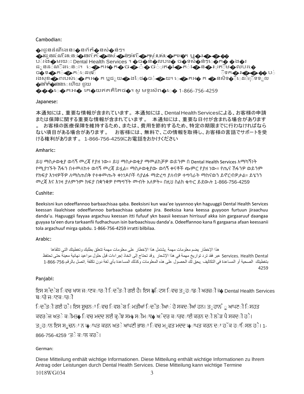#### Cambodian:

 $\bullet$ រជូនដំណឹងេនះ $\bullet$ នព័ត៌ $\bullet$ នស់ $\bullet$ ន់ៗ។ �រជូូនដូំណូឹេងូនូះ�នពូ័តូ៌�នសូំ�ន់ៗអំពូ �កូយសុូំរបស់ងូ�កអ�<sup>ក</sup> ឬ�រ���� ប**់**រង�មរយៈ Dental Health Services ។ �ច�ន�លបររ� ច�รសំ�ន់ៗេ�ក� �ង�រ ដូនដូរ្យាើងទេះ។ ស្រុកអ្នកស្រុកទេ ។ សូចស្ដិនស្ដីលោកស្ដី ចិស្ដិនបាយស្ដី<br>ដូនដូណាើងទេះ។ ស្ដេកអង្គកស្ដីចាស់ ទេ ស្ដាប់ពួកសុំវស្ដាប់វស្ដី&ស្ដារុក្ដើមស្ដីឈារស្ដេ ដូចដាប់ដាច់សន្នោះ។ ប**ន្តអាកស្តាយ ខ្លួន រូប បានបង្ការ ស្ថិត និង** រូបពេលមានស្ថិត បានបង្ការ ស្ថិត ស្ថិត ស្ថិត ស្ថិត<br>ក្នុងក្នុងការស្រុកក្នុងព្រះរាជ្ជកាស្ថិត ស្ថិត ស្ថិត ស្ថិត ស្ថិត ស្ថិត ស្ថិត ស្ថិត ស្ថិត ស្ថិត ស្ថិត ស្ថិត ស្ **៊ទក�ព**់�ព់េដម្ប៉ើ<br>រងសុខ�ពរបស់េ�្កអ� ក ឬដ<sub>ូ</sub>យ�ងៃម�ច**់�**យ។ េ�កអ� ក �នសិទ�ិើដើម្ប៉ើទទ**ូល** �នព័ត៌�នេនះេហើយ ជួយ

 $\clubsuit\spadesuit\spadesuit$ េ $\spadesuit$ កអ $\spadesuit$  គេ $\spadesuit$ ឃឥតគិតៃថ $\spadesuit$ ។ សូមទូរស័ព $\spadesuit$  1-866-756-4259

#### Japanese:

本通知には、重要な情報が含まれています。 本通知には、DentalHealthServicesによる、お客様の申請 または保障に関する重要な情報が含まれています。 本通知には、重要な日付が含まれる場合があります 。 お客様の医療保障を維持するため、または、費用を節約するため、特定の期限までに行わなければなら ない項目がある場合があります。 お客様には、無料で、この情報を取得し、お客様の言語でサポートを受 ける権利があります。 1-866-756-4259にお電話をおかけください

#### Amharic:

ይህ ማስታወቂያ ወሳኝ መረጃ የያዘ ነው። ይህ ማስታወቂያ ማመልከቻዎ ወይንም በ Dental Health Services አማካኝነት የሚያገኙት ሽፋን በተመለከተ ወሳኝ መረጃ ይዟል። ማስታወቂያው ወሳኝ ቀናቶች ጭምር የያዘ ነው። የጤና ሽፋንዎ ወይንም የክፍያ እገዛዎችዎ ለማስጠበቅ የተቀመጡት ቀነገዶቦች ሳያልፉ ማድረግ ያለብዎ ተግባራት ማከናወን ይኖርብዎታል። ይሄንን መረጃ እና እገዛ ያለምንም ክፍያ በቋንቋዎ የማግኘት መብት አለዎት። በዚህ ስልክ ቁጥር ይደውሉ 1-866-756-4259

#### Cushite:

Beeksisni kun odeeffannoo barbaachisaa qaba. Beeksisni kun waa'ee iyyannoo ykn haguuggii Dental Health Services keessan ilaalchisee odeeffannoo barbaachisaa qabatee jira. Beeksisa kana keessa guyyoon furtuun jiraachuu danda'u. Haguuggii fayyaa argachuu keessan itti fufuuf ykn baasii keessan hirrisuuf akka isin gargaaruuf daangaa guyyaa ta'een dura tarkaanfii fudhachuun isin barbaachisuu danda'a. Odeeffannoo kana fi gargaarsa afaan keessanii tola argachuuf mirga qabdu. 1-866-756-4259 irratti bilbilaa.

#### Arabic:

ھذا الإخطار یضم معلومات مھمة .یشتمل ھذا الإخطار على معلومات مھمة تتعلق بطلبك وتغطیتك التي تتلقاھا Dental Health .Services عبر فقد ترد تواریخ مھمة في ھذا الإشعار .وقد تحتاج إلى اتخاذ إجراءات قبل حلول مواعید نھائیة معینة حتى تحتفظ بتغطیتك الصحیة أو المساعدة في التكالیف .یحق لك الحصول على ھذه المعلومات وكذلك المساعدة بأي لغة دون تكلفة .اتصل بالرقم1-866-756- 4259

#### Panjabi:

ਇਸ ਸ<sup>ੁੰ</sup>ਦ**ੇਸ਼ ਿਵਚ ਖਾਸ ਜ**ਾਣਕ**ਾਰ**ੀ ਿਦ**ੱਤ**ੀ ਗਈ ਹੈ। ਇਸ ਨ੍ਹਿਟਸ ਿਵਚ ਤ**ੁਹ**ਾਡ**ੀ ਅਰਜ਼**ੀ ਜ**্ਹ** Dental Health Services ਬ<sub>ਾ</sub>ਰੇ ਜ**ਾਣਕ**ਾਰ**ੀ** 

ਿਦ**ੱਤ**ੀ ਗਈ ਹ**ੈ। ਇਸ ਸੂਚਨ**ਾ ਿਵਚ ਿਵਸ਼**ੇਸ਼ ਿਮਤੀਆਂ ਿਦ**ੱਤ**ੀਆ**ਂ ਹੋ ਸਕਦ**ੀਆਂ ਹਨ। ਤ**ੁਹਾਨੰ ੂ ਆਪਣ**ੀ ਿਸਹਤ** 

ਕਵਰ**ੇਜ ਅਤ**ੇ ਕ**ੀਮਤ♠ ਿਵਚ ਮਦਦ ਲਈ ਕ**ੱਝ ਸਮ⊌ ਸ**ੀਮ**ਾਵ♦ ਅੰ ਦਰ ਕ**ਾਰਵ**ਾਈ ਕਰਨ ਦ**ੀ ਲ**ੋੜ ਪੈ ਸਕਦ**ੀ ਹ**ੈ।

ਤਰੂਹਰਾਨ ਇਸ ਸਰੂਚਨਰਾ ਨ ਘੁੰ∙ਾਪਤ ਕਰਨ ਅਤਰੇ ਆਪਣੀ ਭਾਸ਼ਰਾ ਿਵਚ ਮਰੂਫਤ ਮਦਦ ਘੁੰ∙ਾਪਤ ਕਰਨ ਦੂਰਾ ਹੱਕ ਹਰਾਿੰਸਲ ਹਰੈ। 1-866-756-4259 'ਤੰ ਕੰਾਲ ਕਰੰੋ।

#### German:

Diese Mitteilung enthält wichtige Informationen. Diese Mitteilung enthält wichtige Informationen zu Ihrem Antrag oder Leistungen durch Dental Health Services. Diese Mitteilung kann wichtige Termine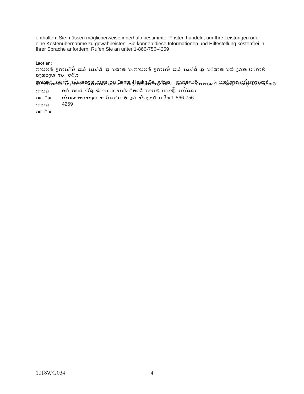enthalten. Sie müssen möglicherweise innerhalb bestimmter Fristen handeln, um Ihre Leistungen oder eine Kostenübernahme zu gewährleisten. Sie können diese Informationen und Hilfestellung kostenfrei in Ihrer Sprache anfordern. Rufen Sie an unter 1-866-756-4259

Laotian:

ການແຈ້ ງການີ $\hat{\mathfrak{b}}$  ແມ່ ນມ $\dot{\mathfrak{s}}$  ມູ ນສາຄັ ນ. ການແຈ້ ງການ $\hat{\mathfrak{b}}$  ແມ່ ນມ $\dot{\mathfrak{s}}$  ມູ ນຳສາຄັ ນກ່ $\mathfrak{z}$ ວກ $\check{\mathfrak{s}}$  ບ $\dot{\mathfrak{s}}$ ຄາຮ້ ອງຂອງທ່ານ ຫ໊ລ

**ຫານອ**ຍົງປະ<sup>ເລ</sup>ື່ອງປະພຣອນທ່ານໂຕ່ຍາບ<del>ປີເ</del>ທປald ealth Se<sub>l</sub> ນທີ່ເແລັ່ງອາດອະມວິ<sub>ກການຄ</sub>ື ນທະສາຄັນມູນິນຂານແຈ້ຫລ

ອໃນພາສາຂອງທ່ານໂດຍໍບເສັງຄ່າໃດໆໝົດ. ໂທ 1-866-756-ូ ូ ូ ូ ອດូ ວຍຄូ າໃຊូ ຈូ າຍ. ທូ ານូ ມូ ສດໃນການຮូ ບូ ຂມូ ນນ ແລະ ການຊូ ວຍເືຫຼ ການຊូ ວຍເືຫ 4259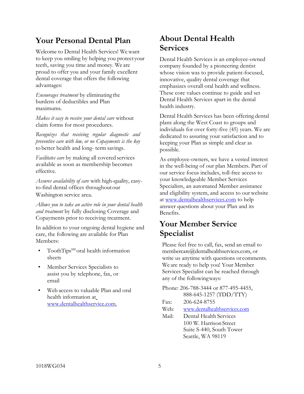### <span id="page-6-0"></span>**Your Personal Dental Plan**

Welcome to Dental Health Services! We want to keep you smiling by helping you protect your teeth, saving you time and money. We are proud to offer you and your family excellent dental coverage that offers the following advantages:

*Encourages treatment* by eliminatingthe burdens of deductibles and Plan maximums.

*Makes it easy to receive your dental care* without claim forms for most procedures.

*Recognizes that receiving regular diagnostic and preventive care with low, or no Copayments is the key*  to better health and long- term savings.

*Facilitates care* by making all covered services available as soon as membership becomes effective.

*Assures availability of care* with high-quality, easyto-find dental offices throughoutour Washington service area.

*Allows you to take an active role in your dental health and treatment* by fully disclosing Coverage and Copayments prior to receiving treatment.

In addition to your ongoing dental hygiene and care, the following are available for Plan Members:

- ToothTips $^{SM}$ oral health information sheets
- Member Services Specialists to assist you by telephone, fax, or email
- <span id="page-6-1"></span>Web access to valuable Plan and oral health information a[t](http://www.dentalhealthservice.com/) [www.dentalhealthservice.com.](http://www.dentalhealthservice.com/)

### **About Dental Health Services**

Dental Health Services is an employee-owned company founded by a pioneering dentist whose vision was to provide patient-focused, innovative, quality dental coverage that emphasizes overall oral health and wellness. These core values continue to guide and set Dental Health Services apart in the dental health industry.

Dental Health Services has been offering dental plans along the West Coast to groups and individuals for over forty-five (45) years. We are dedicated to assuring your satisfaction and to keeping your Plan as simple and clear as possible.

As employee-owners, we have a vested interest in the well-being of our plan Members. Part of our service focus includes, toll-free access to your knowledgeable Member Services Specialists, an automated Member assistance and eligibility system, and access to our website at [www.dentalhealthservices.com](http://www.dentalhealthservices.com/) to help answer questions about your Plan and its Benefits.

### **Your Member Service Specialist**

Please feel free to call, fax, send an email to [membercare@dentalhealthservices.com, o](mailto:membercare@dentalhealthservices.com)r write us anytime with questions or comments. We are ready to help you! Your Member Services Specialist can be reached through any of the followingways:

| Phone: 206-788-3444 or 877-495-4455, |                                               |  |
|--------------------------------------|-----------------------------------------------|--|
|                                      | 888-645-1257 (TDD/TTY)                        |  |
| Fax:                                 | 206-624-8755                                  |  |
| <b>XX77 1</b>                        | $\frac{1}{1}$ $\frac{11}{11}$ $\frac{11}{11}$ |  |

Web: [www.dentalhealthservices.com](http://www.dentalhealthservices.com/)

Mail: Dental Health Services 100 W. HarrisonStreet Suite S-440, South Tower Seattle, WA 98119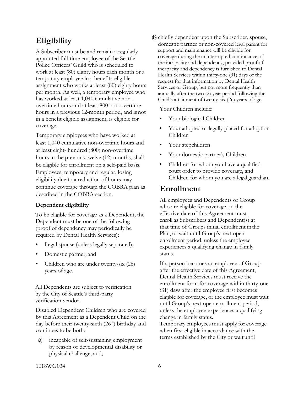### <span id="page-7-0"></span>**Eligibility**

A Subscriber must be and remain a regularly appointed full-time employee of the Seattle Police Officers' Guild who is scheduled to work at least (80) eighty hours each month or a temporary employee in a benefits-eligible assignment who works at least (80) eighty hours per month. As well, a temporary employee who has worked at least 1,040 cumulative nonovertime hours and at least 800 non-overtime hours in a previous 12-month period, and is not in a benefit eligible assignment, is eligible for coverage.

Temporary employees who have worked at least 1,040 cumulative non-overtime hours and at least eight- hundred (800) non-overtime hours in the previous twelve (12) months, shall be eligible for enrollment on a self-paid basis. Employees, temporary and regular, losing eligibility due to a reduction of hours may continue coverage through the COBRA plan as described in the COBRA section.

### **Dependent eligibility**

To be eligible for coverage as a Dependent, the Dependent must be one of the following (proof of dependency may periodically be required by Dental Health Services):

- Legal spouse (unless legally separated);
- Domestic partner; and
- Children who are under twenty-six (26) years of age.

All Dependents are subject to verification by the City of Seattle's third-party verification vendor.

Disabled Dependent Children who are covered by this Agreement as a Dependent Child on the day before their twenty-sixth  $(26<sup>th</sup>)$  birthday and continues to be both:

(a) incapable of self-sustaining employment by reason of developmental disability or physical challenge, and;

(b) chiefly dependent upon the Subscriber, spouse, domestic partner or non-covered legal parent for support and maintenance will be eligible for coverage during the uninterrupted continuance of the incapacity and dependency, provided proof of incapacity and dependency is furnished to Dental Health Services within thirty-one (31) days of the request for that information by Dental Health Services or Group, but not more frequently than annually after the two (2) year period following the Child's attainment of twenty-six (26) years of age.

Your Children include:

- Your biological Children
- Your adopted or legally placed for adoption Children
- Your stepchildren
- Your domestic partner's Children
- Children for whom you have a qualified court order to provide coverage, and Children for whom you are a legal guardian.

### <span id="page-7-1"></span>**Enrollment**

All employees and Dependents of Group who are eligible for coverage on the effective date of this Agreement must enroll as Subscribers and Dependent(s) at that time of Groups initial enrollment inthe Plan, or wait until Group's next open enrollment period, unless the employee experiences a qualifying change in family status.

If a person becomes an employee of Group after the effective date of this Agreement, Dental Health Services must receive the enrollment form for coverage within thirty-one (31) days after the employee first becomes eligible for coverage, or the employee must wait until Group's next open enrollment period, unless the employee experiences a qualifying change in family status.

Temporary employees must apply for coverage when first eligible in accordance with the terms established by the City or wait until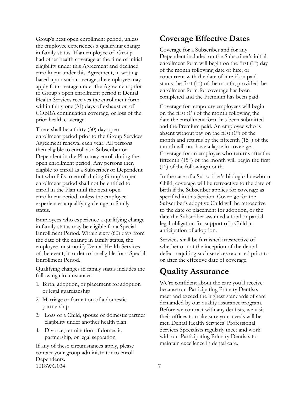Group's next open enrollment period, unless the employee experiences a qualifying change in family status. If an employee of Group had other health coverage at the time of initial eligibility under this Agreement and declined enrollment under this Agreement, in writing based upon such coverage, the employee may apply for coverage under the Agreement prior to Group's open enrollment period if Dental Health Services receives the enrollment form within thirty-one (31) days of exhaustion of COBRA continuation coverage, or loss of the prior health coverage.

There shall be a thirty (30) day open enrollment period prior to the Group Services Agreement renewal each year. All persons then eligible to enroll as a Subscriber or Dependent in the Plan may enroll during the open enrollment period. Any persons then eligible to enroll as a Subscriber or Dependent but who fails to enroll during Group's open enrollment period shall not be entitled to enroll in the Plan until the next open enrollment period, unless the employee experiences a qualifying change in family status.

Employees who experience a qualifying change in family status may be eligible for a Special Enrollment Period. Within sixty (60) days from the date of the change in family status, the employee must notify Dental Health Services of the event, in order to be eligible for a Special Enrollment Period.

Qualifying changes in family status includes the following circumstances:

- 1. Birth, adoption, or placement for adoption or legal guardianship
- 2. Marriage or formation of a domestic partnership
- 3. Loss of a Child, spouse or domestic partner eligibility under another health plan
- 4. Divorce, termination of domestic partnership, or legal separation

1018WG034 7 If any of these circumstances apply, please contact your group administrator to enroll Dependents.

### <span id="page-8-0"></span>**Coverage Effective Dates**

Coverage for a Subscriber and for any Dependent included on the Subscriber's initial enrollment form will begin on the first  $(1<sup>st</sup>)$  day of the month following date of hire, or concurrent with the date of hire if on paid status the first  $(1<sup>st</sup>)$  of the month, provided the enrollment form for coverage has been completed and the Premium has been paid.

Coverage for temporary employees will begin on the first  $(1<sup>st</sup>)$  of the month following the date the enrollment form has been submitted and the Premium paid. An employee who is absent without pay on the first  $(1<sup>st</sup>)$  of the month and returns by the fifteenth  $(15<sup>th</sup>)$  of the month will not have a lapse in coverage. Coverage for an employee who returns afterthe fifteenth  $(15<sup>th</sup>)$  of the month will begin the first  $(1<sup>st</sup>)$  of the following month.

In the case of a Subscriber's biological newborn Child, coverage will be retroactive to the date of birth if the Subscriber applies for coverage as specified in this Section. Coverage for the Subscriber's adoptive Child will be retroactive to the date of placement for adoption, or the date the Subscriber assumed a total or partial legal obligation for support of a Child in anticipation of adoption.

Services shall be furnished irrespective of whether or not the inception of the dental defect requiring such services occurred prior to or after the effective date of coverage.

### **Quality Assurance**

<span id="page-8-1"></span>We're confident about the care you'll receive because our Participating Primary Dentists meet and exceed the highest standards of care demanded by our quality assurance program. Before we contract with any dentists, we visit their offices to make sure your needs will be met. Dental Health Services' Professional Services Specialists regularly meet and work with our Participating Primary Dentists to maintain excellence in dental care.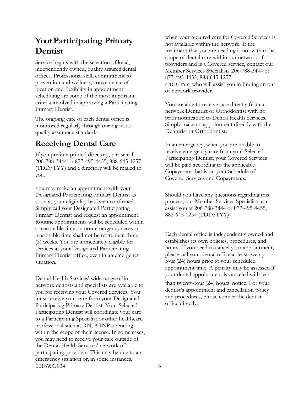### **Your Participating Primary Dentist**

Service begins with the selection of local, independently owned, quality assured dental offices. Professional skill, commitment to prevention and wellness, convenience of location and flexibility in appointment scheduling are some of the most important criteria involved in approving a Participating Primary Dentist.

The ongoing care of each dental office is monitored regularly through our rigorous quality assurance standards.

### **Receiving Dental Care**

If you prefer a printed directory, please call 206-788-3444 or 877-495-4455, 888-645-1257 (TDD/TYY) and a directory will be mailed to you.

You may make an appointment with your Designated Participating Primary Dentist as soon as your eligibility has been confirmed. Simply call your Designated Participating Primary Dentist and request an appointment. Routine appointments will be scheduled within a reasonable time; in non-emergency cases, a reasonable time shall not be more than three (3) weeks. You are immediately eligible for services at your Designated Participating Primary Dentist office, even in an emergency situation.

1018WG034 8 Dental Health Services' wide range of innetwork dentists and specialists are available to you for receiving your Covered Services. You must receive your care from your Designated Participating Primary Dentist. Your Selected Participating Dentist will coordinate your care to a Participating Specialist or other healthcare professional such as RN, ARNP operating within the scope of their license. In some cases, you may need to receive your care outside of the Dental Health Services' network of participating providers. This may be due to an emergency situation or, in some instances,

when your required care for Covered Services is not available within the network. If the treatment that you are needing is not within the scope of dental care within our network of providers and is a Covered service, contact our Member Services Specialists 206-788-3444 or 877-495-4455, 888-645-1257 (TDD/TYY) who will assist you in finding an out of network provider.

You are able to receive care directly from a network Denturist or Orthodontist with no prior notification to Dental Health Services. Simply make an appointment directly with the Denturist or Orthodontist.

In an emergency, when you are unable to receive emergency care from your Selected Participating Dentist, your Covered Services will be paid according to the applicable Copayment that is on your Schedule of Covered Services and Copayments.

Should you have any questions regarding this process, our Member Services Specialists can assist you at 206-788-3444 or 877-495-4455, 888-645-1257 (TDD/TYY)

Each dental office is independently owned and establishes its own policies, procedures, and hours. If you need to cancel your appointment, please call your dental office at least twentyfour (24) hours prior to your scheduled appointment time. A penalty may be assessed if your dental appointment is canceled with less than twenty-four (24) hours' notice. For your dentist's appointment and cancellation policy and procedures, please contact the dentist

office directly.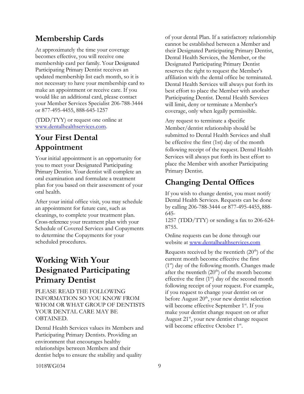### **Membership Cards**

At approximately the time your coverage becomes effective, you will receive one membership card per family. Your Designated Participating Primary Dentist receives an updated membership list each month, so it is not necessary to have your membership card to make an appointment or receive care. If you would like an additional card, please contact your Member Services Specialist 206-788-3444 or 877-495-4455, 888-645-1257

(TDD/TYY) or request one online at [www.dentalhealthservices.com.](http://www.dentalhealthservices.com/)

### **Your First Dental Appointment**

Your initial appointment is an opportunity for you to meet your Designated Participating Primary Dentist. Your dentist will complete an oral examination and formulate a treatment plan for you based on their assessment of your oral health.

After your initial office visit, you may schedule an appointment for future care, such as cleanings, to complete your treatment plan. Cross-reference your treatment plan with your Schedule of Covered Services and Copayments to determine the Copayments for your scheduled procedures.

### <span id="page-10-0"></span>**Working With Your Designated Participating Primary Dentist**

PLEASE READ THE FOLLOWING INFORMATION SO YOU KNOW FROM WHOM OR WHAT GROUP OF DENTISTS YOUR DENTAL CARE MAY BE OBTAINED.

Dental Health Services values its Members and Participating Primary Dentists. Providing an environment that encourages healthy relationships between Members and their dentist helps to ensure the stability and quality

of your dental Plan. If a satisfactory relationship cannot be established between a Member and their Designated Participating Primary Dentist, Dental Health Services, the Member, or the Designated Participating Primary Dentist reserves the right to request the Member's affiliation with the dental office be terminated. Dental Health Services will always put forth its best effort to place the Member with another Participating Dentist. Dental Health Services will limit, deny or terminate a Member's coverage, only when legally permissible.

Any request to terminate a specific Member/dentist relationship should be submitted to Dental Health Services and shall be effective the first (1st) day of the month following receipt of the request. Dental Health Services will always put forth its best effort to place the Member with another Participating Primary Dentist.

### <span id="page-10-1"></span>**Changing Dental Offices**

If you wish to change dentist, you must notify Dental Health Services. Requests can be done by calling 206-788-3444 or 877-495-4455, 888- 645-

1257 (TDD/TTY) or sending a fax to 206-624- 8755.

Online requests can be done through our website at [www.dentalhealthservices.com](http://www.dentalhealthservices.com/)

<span id="page-10-2"></span>Requests received by the twentieth  $(20<sup>th</sup>)$  of the current month become effective the first  $(1<sup>st</sup>)$  day of the following month. Changes made after the twentieth  $(20<sup>th</sup>)$  of the month become effective the first  $(1<sup>st</sup>)$  day of the second month following receipt of your request. For example, if you request to change your dentist on or before August 20<sup>th</sup>, your new dentist selection will become effective September 1<sup>st</sup>. If you make your dentist change request on or after August  $21^{st}$ , your new dentist change request will become effective October 1st.

1018WG034 9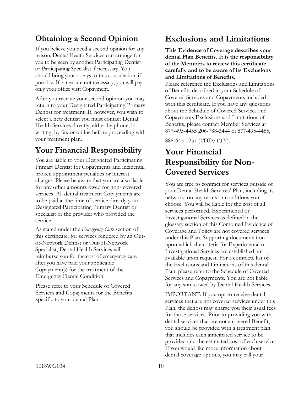### **Obtaining a Second Opinion**

If you believe you need a second opinion for any reason, Dental Health Services can arrange for you to be seen by another Participating Dentist or Participating Specialist if necessary. You should bring your x- rays to this consultation, if possible. If x-rays are not necessary, you will pay only your office visit Copayment.

After you receive your second opinion you may return to your Designated Participating Primary Dentist for treatment. If, however, you wish to select a new dentist you must contact Dental Health Services directly, either by phone, in writing, by fax or online before proceeding with your treatment plan.

### <span id="page-11-0"></span>**Your Financial Responsibility**

You are liable to your Designated Participating Primary Dentist for Copayments and incidental broken appointment penalties or interest charges. Please be aware that you are also liable for any other amounts owed for non- covered services. All dental treatment Copayments are to be paid at the time of service directly your Designated Participating Primary Dentist or specialist or the provider who provided the service.

As stated under the *Emergency Care* section of this certificate, for services rendered by an Outof-Network Dentist or Out-of-Network Specialist, Dental Health Services will reimburse you for the cost of emergency care after you have paid your applicable Copayment(s) for the treatment of the Emergency Dental Condition.

<span id="page-11-1"></span>Please refer to your Schedule of Covered Services and Copayments for the Benefits specific to your dental Plan.

### **Exclusions and Limitations**

**This Evidence of Coverage describes your dental Plan Benefits. It is the responsibility of the Members to review this certificate carefully and to be aware of its Exclusions and Limitations of Benefits.**

Please reference the Exclusions and Limitations of Benefits described in your Schedule of Covered Services and Copayments included with this certificate. If you have any questions about the Schedule of Covered Services and Copayments Exclusions and Limitations of Benefits, please contact Member Services at 877-495-4455 206-788-3444 or 877-495-4455,

888-645-1257 (TDD/TTY).

### <span id="page-11-2"></span>**Your Financial Responsibility for Non-Covered Services**

You are free to contract for services outside of your Dental Health Services' Plan, including its network, on any terms or conditions you choose. You will be liable for the cost of all services performed. Experimental or Investigational Services as defined in the glossary section of this Combined Evidence of Coverage and Policy are not covered services under this Plan. Supporting documentation upon which the criteria for Experimental or Investigational Services are established are available upon request. For a complete list of the Exclusions and Limitations of this dental Plan, please refer to the Schedule of Covered Services and Copayments. You are not liable for any sums owed by Dental Health Services.

IMPORTANT: If you opt to receive dental services that are not covered services under this Plan, the dentist may charge you their usual fees for those services. Prior to providing you with dental services that are not a covered Benefit, you should be provided with a treatment plan that includes each anticipated service to be provided and the estimated cost of each service. If you would like more information about dental coverage options, you may call your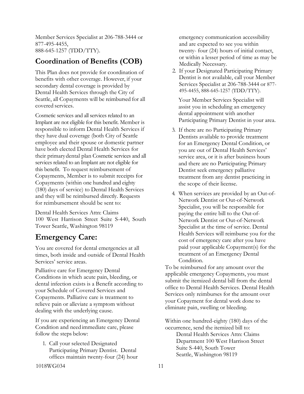Member Services Specialist at 206-788-3444 or 877-495-4455, 888-645-1257 (TDD/TTY).

### **Coordination of Benefits (COB)**

This Plan does not provide for coordination of benefits with other coverage. However, if your secondary dental coverage is provided by Dental Health Services through the City of Seattle, all Copayments will be reimbursed for all covered services.

Cosmetic services and all services related to an Implant are not eligible for this benefit. Member is responsible to inform Dental Health Services if they have dual coverage (both City of Seattle employee and their spouse or domestic partner have both elected Dental Health Services for their primarydental plan Cosmetic services and all services related to an Implant are not eligible for this benefit. To request reimbursement of Copayments, Member is to submit receipts for Copayments (within one hundred and eighty (180) days of service) to Dental Health Services and they will be reimbursed directly. Requests for reimbursement should be sent to:

Dental Health Services Attn: Claims 100 West Harrison Street Suite S-440, South Tower Seattle, Washington 98119

### **Emergency Care:**

You are covered for dental emergencies at all times, both inside and outside of Dental Health Services' service areas.

Palliative care for Emergency Dental Conditions in which acute pain, bleeding, or dental infection exists is a Benefit according to your Schedule of Covered Services and Copayments. Palliative care is treatment to relieve pain or alleviate a symptom without dealing with the underlying cause.

If you are experiencing an Emergency Dental Condition and need immediate care, please follow the steps below:

1. Call your selected Designated Participating Primary Dentist. Dental offices maintain twenty-four (24) hour emergency communication accessibility and are expected to see you within twenty- four (24) hours of initial contact, or within a lesser period of time as may be Medically Necessary.

2. If your Designated Participating Primary Dentist is not available, call your Member Services Specialist at 206-788-3444 or 877- 495-4455, 888-645-1257 (TDD/TTY).

 Your Member Services Specialist will assist you in scheduling an emergency dental appointment with another Participating Primary Dentist in your area.

- 3. If there are no Participating Primary Dentists available to provide treatment for an Emergency Dental Condition, or you are out of Dental Health Services' service area, or it is after business hours and there are no Participating Primary Dentist seek emergency palliative treatment from any dentist practicing in the scope of their license.
- 4. When services are provided by an Out-of-Network Dentist or Out-of-Network Specialist, you will be responsible for paying the entire bill to the Out-of-Network Dentist or Out-of-Network Specialist at the time of service. Dental Health Services will reimburse you for the cost of emergency care after you have paid your applicable Copayment(s) for the treatment of an Emergency Dental Condition.

To be reimbursed for any amount over the applicable emergency Copayments, you must submit the itemized dental bill from the dental office to Dental Health Services. Dental Health Services only reimburses for the amount over your Copayment for dental work done to eliminate pain, swelling or bleeding.

Within one hundred-eighty (180) days of the occurrence, send the itemized bill to:

> Dental Health Services Attn: Claims Department 100 West Harrison Street Suite S-440, South Tower Seattle, Washington 98119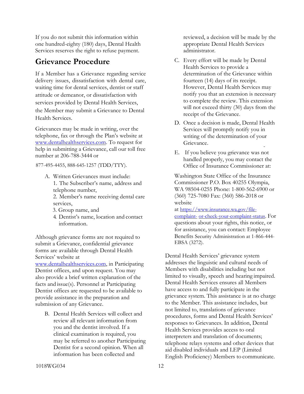If you do not submit this information within one hundred-eighty (180) days, Dental Health Services reserves the right to refuse payment.

### <span id="page-13-0"></span>**Grievance Procedure**

If a Member has a Grievance regarding service delivery issues, dissatisfaction with dental care, waiting time for dental services, dentist or staff attitude or demeanor, or dissatisfaction with services provided by Dental Health Services, the Member may submit a Grievance to Dental Health Services.

Grievances may be made in writing, over the telephone, fax or through the Plan's website at [www.dentalhealthservices.com.](http://www.dentalhealthservices.com/) To request for help in submitting a Grievance, call our toll free number at 206-788-3444 or

877-495-4455, 888-645-1257 (TDD/TTY).

- A. Written Grievances must include: 1. The Subscriber's name, address and telephone number,
	- 2. Member's name receiving dental care services,
	- 3. Group name, and
	- 4. Dentist's name, location and contact information.

Although grievance forms are not required to submit a Grievance, confidential grievance forms are available through Dental Health Services' website at

[www.dentalhealthservices.com, i](http://www.dentalhealthservices.com/)n Participating Dentist offices, and upon request. You may also provide a brief written explanation of the facts and issue(s). Personnel at Participating Dentist offices are requested to be available to provide assistance in the preparation and submission of any Grievance.

B. Dental Health Services will collect and review all relevant information from you and the dentist involved. If a clinical examination is required, you may be referred to another Participating Dentist for a second opinion. When all information has been collected and

reviewed, a decision will be made by the appropriate Dental Health Services administrator.

- C. Every effort will be made by Dental Health Services to provide a determination of the Grievance within fourteen (14) days of its receipt. However, Dental Health Services may notify you that an extension is necessary to complete the review. This extension will not exceed thirty (30) days from the receipt of the Grievance.
- D. Once a decision is made, Dental Health Services will promptly notify you in writing of the determination of your Grievance.
- E. If you believe you grievance was not handled properly, you may contact the Office of Insurance Commissioner at:

Washington State Office of the Insurance Commissioner P.O. Box 40255 Olympia, WA 98504-0255 Phone: 1-800-562-6900 or (360) 725-7080 Fax: (360) 586-2018 or website

at [https://www.insurance.wa.gov/file](https://www.insurance.wa.gov/file-complaint-or-check-your-complaint-status)[complaint-](https://www.insurance.wa.gov/file-complaint-or-check-your-complaint-status) [or-check-your-complaint-status.](https://www.insurance.wa.gov/file-complaint-or-check-your-complaint-status) For questions about your rights, this notice, or for assistance, you can contact: Employee Benefits Security Administration at 1-866-444- EBSA (3272).

Dental Health Services' grievance system addresses the linguistic and cultural needs of Members with disabilities including but not limited to visually, speech and hearing impaired. Dental Health Services ensures all Members have access to and fully participate in the grievance system. This assistance is at no charge to the Member. This assistance includes, but not limited to, translations of grievance procedures, forms and Dental Health Services' responses to Grievances. In addition, Dental Health Services provides access to oral interpreters and translation of documents; telephone relays systems and other devices that aid disabled individuals and LEP (Limited English Proficiency) Members to communicate.

1018WG034 12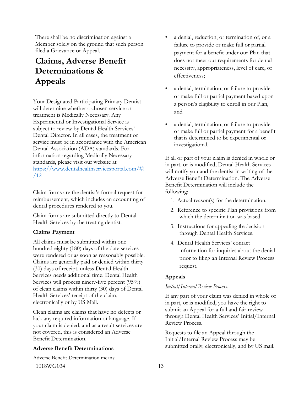There shall be no discrimination against a Member solely on the ground that such person filed a Grievance or Appeal.

# **Claims, Adverse Benefit Determinations & Appeals**

Your Designated Participating Primary Dentist will determine whether a chosen service or treatment is Medically Necessary. Any Experimental or Investigational Service is subject to review by Dental Health Services' Dental Director. In all cases, the treatment or service must be in accordance with the American Dental Association (ADA) standards. For information regarding Medically Necessary standards, please visit our website at [https://www.dentalhealthservicesportal.com/#!](https://www.dentalhealthservicesportal.com/#!/12) [/12](https://www.dentalhealthservicesportal.com/#!/12)

Claim forms are the dentist's formal request for reimbursement, which includes an accounting of dental procedures rendered to you.

Claim forms are submitted directly to Dental Health Services by the treating dentist.

### **Claims Payment**

All claims must be submitted within one hundred-eighty (180) days of the date services were rendered or as soon as reasonably possible. Claims are generally paid or denied within thirty (30) days of receipt, unless Dental Health Services needs additional time. Dental Health Services will process ninety-five percent (95%) of clean claims within thirty (30) days of Dental Health Services' receipt of the claim, electronically or by US Mail.

Clean claims are claims that have no defects or lack any required information or language. If your claim is denied, and as a result services are not covered, this is considered an Adverse Benefit Determination.

#### **Adverse Benefit Determinations**

1018WG034 13 Adverse Benefit Determination means:

- a denial, reduction, or termination of, or a failure to provide or make full or partial payment for a benefit under our Plan that does not meet our requirements for dental necessity, appropriateness, level of care, or effectiveness;
- a denial, termination, or failure to provide or make full or partial payment based upon a person's eligibility to enroll in our Plan, and
- a denial, termination, or failure to provide or make full or partial payment for a benefit that is determined to be experimental or investigational.

If all or part of your claim is denied in whole or in part, or is modified, Dental Health Services will notify you and the dentist in writing of the Adverse Benefit Determination. The Adverse Benefit Determination will include the following:

- 1. Actual reason(s) for the determination.
- 2. Reference to specific Plan provisions from which the determination was based.
- 3. Instructions for appealing the decision through Dental Health Services.
- 4. Dental Health Services' contact information for inquiries about the denial prior to filing an Internal Review Process request.

### **Appeals**

#### *Initial/Internal Review Process:*

If any part of your claim was denied in whole or in part, or is modified, you have the right to submit an Appeal for a full and fair review through Dental Health Services' Initial/Internal Review Process.

Requests to file an Appeal through the Initial/Internal Review Process may be submitted orally, electronically, and by US mail.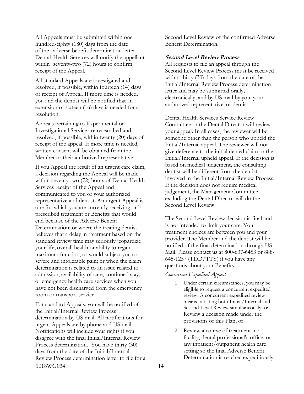All Appeals must be submitted within one hundred-eighty (180) days from the date of the adverse benefit determination letter. Dental Health Services will notify the appellant within seventy-two (72) hours to confirm receipt of the Appeal.

All standard Appeals are investigated and resolved, if possible, within fourteen (14) days of receipt of Appeal. If more time is needed, you and the dentist will be notified that an extension of sixteen (16) days is needed for a resolution.

Appeals pertaining to Experimental or Investigational Service are researched and resolved, if possible, within twenty (20) days of receipt of the appeal. If more time is needed, written consent will be obtained from the Member or their authorized representative.

If you Appeal the result of an urgent care claim, a decision regarding the Appeal will be made within seventy-two (72) hours of Dental Health Services receipt of the Appeal and communicated to you or your authorized representative and dentist. An urgent Appeal is one for which you are currently receiving or is prescribed treatment or Benefits that would end because of the Adverse Benefit Determination; or where the treating dentist believes that a delay in treatment based on the standard review time may seriously jeopardize your life, overall health or ability to regain maximum function, or would subject you to severe and intolerable pain; or when the claim determination is related to an issue related to admission, availability of care, continued stay, or emergency health care services when you have not been discharged from the emergency room or transport service.

1018WG034 14 For standard Appeals, you will be notified of the Initial/Internal Review Process determination by US mail. All notifications for urgent Appeals are by phone and US mail. Notifications will include your rights if you disagree with the final Initial/Internal Review Process determination. You have thirty (30) days from the date of the Initial/Internal Review Process determination letter to file for a

Second Level Review of the confirmed Adverse Benefit Determination.

#### **Second Level Review Process**

All requests to file an appeal through the Second Level Review Process must be received within thirty (30) days from the date of the Initial/Internal Review Process determination letter and may be submitted orally, electronically, and by US mail by you, your authorized representative, or dentist.

Dental Health Services Service Review Committee or the Dental Director will review your appeal. In all cases, the reviewer will be someone other than the person who upheld the Initial/Internal appeal. The reviewer will not give deference to the initial denied claim or the Initial/Internal upheld appeal. If the decision is based on medical judgement, the consulting dentist will be different from the dentist involved in the Initial/Internal Review Process. If the decision does not require medical judgement, the Management Committee excluding the Dental Director will do the Second Level Review.

The Second Level Review decision is final and is not intended to limit your care. Your treatment choices are between you and your provider. The Member and the dentist will be notified of the final determination through US Mail. Please contact us at 800-637-6453 or 888- 645-1257 (TDD/TTY) if you have any questions about your Benefits.

#### *Concurrent Expedited Appeal*

- 1. Under certain circumstances, you may be eligible to request a concurrent expedited review. A concurrent expedited review means initiating both Initial/Internal and Second Level Review simultaneously to: Review a decision made under the provisions of this Plan; or
- 2. Review a course of treatment in a facility, dental professional's office, or any inpatient/outpatient health care setting so the final Adverse Benefit Determination is reached expeditiously.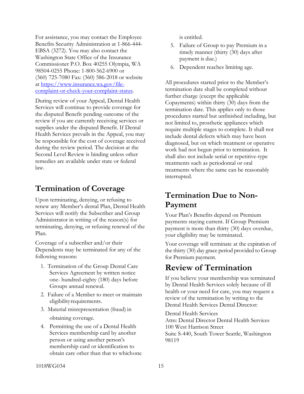For assistance, you may contact the Employee Benefits Security Administration at 1-866-444- EBSA (3272). You may also contact the Washington State Office of the Insurance Commissioner P.O. Box 40255 Olympia, WA 98504-0255 Phone: 1-800-562-6900 or (360) 725-7080 Fax: (360) 586-2018 or website at [https://www.insurance.wa.gov/file](https://www.insurance.wa.gov/file-complaint-or-check-your-complaint-status)[complaint-or-check-your-complaint-status.](https://www.insurance.wa.gov/file-complaint-or-check-your-complaint-status)

During review of your Appeal, Dental Health Services will continue to provide coverage for the disputed Benefit pending outcome of the review if you are currently receiving services or supplies under the disputed Benefit. If Dental Health Services prevails in the Appeal, you may be responsible for the cost of coverage received during the review period. The decision at the Second Level Review is binding unless other remedies are available under state or federal law.

### <span id="page-16-0"></span>**Termination of Coverage**

Upon terminating, denying, or refusing to renew any Member's dental Plan, Dental Health Services will notify the Subscriber and Group Administrator in writing of the reason(s) for terminating, denying, or refusing renewal of the Plan.

Coverage of a subscriber and/or their Dependents may be terminated for any of the following reasons:

- 1. Termination of the Group Dental Care Services Agreement by written notice one- hundred-eighty (180) days before Groups annual renewal.
- 2. Failure of a Member to meet or maintain eligibilityrequirements.
- 3. Material misrepresentation (fraud) in obtaining coverage.
- 4. Permitting the use of a Dental Health Services membership card by another person or using another person's membership card or identification to obtain care other than that to whichone

is entitled.

- 5. Failure of Group to pay Premium in a timely manner (thirty (30) days after payment is due.)
- 6. Dependent reaches limiting age.

All procedures started prior to the Member's termination date shall be completed without further charge (except the applicable Copayments) within thirty (30) days from the termination date. This applies only to those procedures started but unfinished including, but not limited to, prosthetic appliances which require multiple stages to complete. It shall not include dental defects which may have been diagnosed, but on which treatment or operative work had not begun prior to termination. It shall also not include serial or repetitive-type treatments such as periodontal or oral treatments where the same can be reasonably interrupted.

### **Termination Due to Non-Payment**

Your Plan's Benefits depend on Premium payments staying current. If Group Premium payment is more than thirty (30) days overdue, your eligibility may be terminated.

Your coverage will terminate at the expiration of the thirty (30) day grace period provided to Group for Premium payment.

### **Review of Termination**

If you believe your membership was terminated by Dental Health Services solely because of ill health or your need for care, you may request a review of the termination by writing to the Dental Health Services Dental Director:

Dental Health Services Attn: Dental Director Dental Health Services 100 West Harrison Street Suite S-440, South Tower Seattle, Washington 98119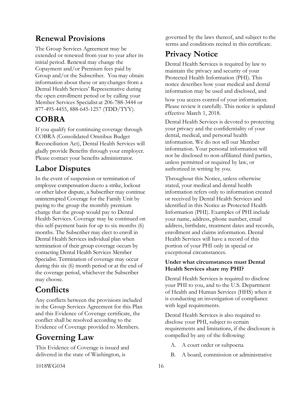### **Renewal Provisions**

The Group Services Agreement may be extended or renewed from year to year after its initial period. Renewal may change the Copayment and/or Premium fees paid by Group and/or the Subscriber. You may obtain information about these or anychanges from a Dental Health Services' Representative during the open enrollment period or by calling your Member Services Specialist at 206-788-3444 or 877-495-4455, 888-645-1257 (TDD/TYY).

### **COBRA**

If you qualify for continuing coverage through COBRA (Consolidated Omnibus Budget Reconciliation Act), Dental Health Services will gladly provide Benefits through your employer. Please contact your benefits administrator.

### <span id="page-17-0"></span>**Labor Disputes**

In the event of suspension or termination of employee compensation dueto a strike, lockout or other labor dispute, a Subscriber may continue uninterrupted Coverage for the Family Unit by paying to the group the monthly premium charge that the group would pay to Dental Health Services. Coverage may be continued on this self-payment basis for up to six months (6) months. The Subscriber may elect to enroll in Dental Health Services individual plan when termination of their group coverage occurs by contacting Dental Health Services Member Specialist. Termination of coverage may occur during this six (6) month period or at the end of the coverage period, whichever the Subscriber may choose.

# <span id="page-17-2"></span>**Conflicts**

Any conflicts between the provisions included in the Group Services Agreement for this Plan and this Evidence of Coverage certificate, the conflict shall be resolved according to the Evidence of Coverage provided to Members.

# **Governing Law**

This Evidence of Coverage is issued and delivered in the state of Washington, is

governed by the laws thereof, and subject to the terms and conditions recited in this certificate.

# <span id="page-17-1"></span>**Privacy Notice**

Dental Health Services is required by law to maintain the privacy and security of your Protected Health Information (PHI). This notice describes how your medical and dental information may be used and disclosed, and

how you access control of your information. Please review it carefully. This notice is updated effective March 1, 2018.

Dental Health Services is devoted to protecting your privacy and the confidentiality of your dental, medical, and personal health information. We do not sell our Member information. Your personal information will not be disclosed to non-affiliated third parties, unless permitted or required by law, or authorized in writing by you.

Throughout this Notice, unless otherwise stated, your medical and dental health information refers only to information created or received by Dental Health Services and identified in this Notice as Protected Health Information (PHI). Examples of PHI include your name, address, phone number, email address, birthdate, treatment dates and records, enrollment and claims information. Dental Health Services will have a record of this portion of your PHI only in special or exceptional circumstances.

### **Under what circumstances must Dental Health Services share my PHI?**

Dental Health Services is required to disclose your PHI to you, and to the U.S. Department of Health and Human Services (HHS) when it is conducting an investigation of compliance with legal requirements.

Dental Health Services is also required to disclose your PHI, subject to certain requirements and limitations, if the disclosure is compelled by any of the following:

- A. A court order or subpoena
- B. A board, commission or administrative

1018WG034 16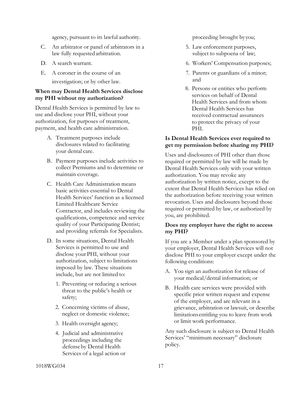agency, pursuant to its lawful authority.

- C. An arbitrator or panel of arbitrators in a law fully requestedarbitration.
- D. A search warrant.
- E. A coroner in the course of an investigation; or by other law.

#### **When may Dental Health Services disclose my PHI without my authorization?**

Dental Health Services is permitted by law to use and disclose your PHI, without your authorization, for purposes of treatment, payment, and health care administration.

- A. Treatment purposes include disclosures related to facilitating your dental care.
- B. Payment purposes include activities to collect Premiums and to determine or maintain coverage.
- C. Health Care Administration means basic activities essential to Dental Health Services' function as a licensed Limited Healthcare Service Contractor, and includes reviewing the qualifications, competence and service quality of your Participating Dentist; and providing referrals for Specialists.
- D. In some situations, Dental Health Services is permitted to use and disclose your PHI, without your authorization, subject to limitations imposed by law. These situations include, but are not limited to:
	- 1. Preventing or reducing a serious threat to the public's health or safety;
	- 2. Concerning victims of abuse, neglect or domestic violence;
	- 3. Health oversight agency;
	- 4. Judicial and administrative proceedings including the defenseby Dental Health Services of a legal action or

proceeding brought by you;

- 5. Law enforcement purposes, subject to subpoena of law;
- 6. Workers' Compensation purposes;
- 7. Parents or guardians of a minor; and
- 8. Persons or entities who perform services on behalf of Dental Health Services and from whom Dental Health Services has received contractual assurances to protect the privacy of your PHI.

#### **Is Dental Health Services ever required to get my permission before sharing my PHI?**

Uses and disclosures of PHI other than those required or permitted by law will be made by Dental Health Services only with your written authorization. You may revoke any authorization by written notice, except to the extent that Dental Health Services has relied on the authorization before receiving your written revocation. Uses and disclosures beyond those required or permitted by law, or authorized by you, are prohibited.

#### **Does my employer have the right to access my PHI?**

If you are a Member under a plan sponsored by your employer, Dental Health Services will not disclose PHI to your employer except under the following conditions:

- A. You sign an authorization for release of your medical/dental information; or
- B. Health care services were provided with specific prior written request and expense of the employer, and are relevant in a grievance, arbitration or lawsuit, or describe limitations entitling you to leave from work or limit work performance.

Any such disclosure is subject to Dental Health Services' "minimum necessary" disclosure policy.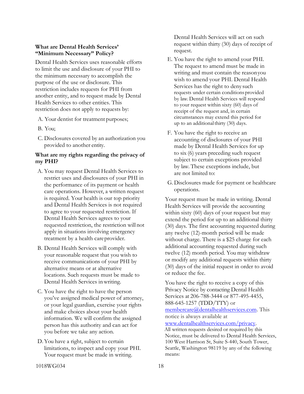#### **What are Dental Health Services' "Minimum Necessary" Policy?**

Dental Health Services uses reasonable efforts to limit the use and disclosure of your PHI to the minimum necessary to accomplish the purpose of the use or disclosure. This restriction includes requests for PHI from another entity, and to request made by Dental Health Services to other entities. This restriction does not apply to requests by:

- A. Your dentist for treatment purposes;
- B. You;
- C. Disclosures covered by an authorization you provided to another entity.

### **What are my rights regarding the privacy of my PHI?**

- A. You may request Dental Health Services to restrict uses and disclosures of your PHI in the performance of its payment or health care operations. However, a written request is required. Your health is our top priority and Dental Health Services is not required to agree to your requested restriction. If Dental Health Services agrees to your requested restriction, the restriction will not apply in situations involving emergency treatment by a health careprovider.
- B. Dental Health Services will comply with your reasonable request that you wish to receive communications of your PHI by alternative means or at alternative locations. Such requests must be made to Dental Health Services inwriting.
- C. You have the right to have the person you've assigned medical power of attorney, or your legal guardian, exercise your rights and make choices about your health information. We will confirm the assigned person has this authority and can act for you before we take any action.
- D.You have a right, subject to certain limitations, to inspect and copy your PHI. Your request must be made in writing.

Dental Health Services will act on such request within thirty (30) days of receipt of request.

- E. You have the right to amend your PHI. The request to amend must be made in writing and must contain the reasonyou wish to amend your PHI. Dental Health Services has the right to deny such requests under certain conditionsprovided by law. Dental Health Services will respond to your request within sixty (60) days of receipt of the request and, in certain circumstances may extend this period for up to an additional thirty (30) days.
- F. You have the right to receive an accounting of disclosures of your PHI made by Dental Health Services for up to six (6) years preceding such request subject to certain exceptions provided by law. These exceptions include, but are not limited to:
- G. Disclosures made for payment or healthcare operations.

Your request must be made in writing. Dental Health Services will provide the accounting within sixty (60) days of your request but may extend the period for up to an additional thirty (30) days. The first accounting requested during any twelve (12)-month period will be made without charge. There is a \$25 charge for each additional accounting requested during such twelve (12) month period. You may withdraw or modify any additional requests within thirty (30) days of the initial request in order to avoid or reduce the fee.

You have the right to receive a copy of this Privacy Notice by contacting Dental Health Services at 206-788-3444 or 877-495-4455, 888-645-1257 (TDD/TTY) or [membercare@dentalhealthservices.com. T](mailto:membercare@dentalhealthservices.com)his notice is always available at [www.dentalhealthservices.com/privacy.](http://www.dentalhealthservices.com/privacy) All written requests desired or required by this Notice, must be delivered to Dental Health Services, 100 West Harrison St, Suite S-440, South Tower,

Seattle, Washington 98119 by any of the following

1018WG034 18

means: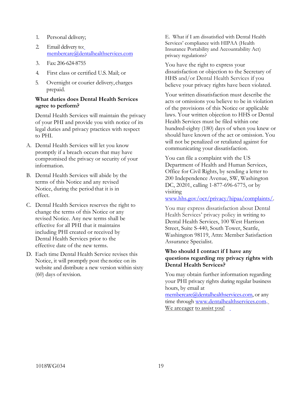- 1. Personal delivery;
- 2. Email delivery to[:](mailto:membercare@dentalhealthservices.com) [membercare@dentalhealthservices.com](mailto:membercare@dentalhealthservices.com)
- 3. Fax: 206-624-8755
- 4. First class or certified U.S. Mail; or
- 5. Overnight or courier delivery, charges prepaid.

#### **What duties does Dental Health Services agree to perform?**

Dental Health Services will maintain the privacy of your PHI and provide you with notice of its legal duties and privacy practices with respect to PHI.

- A. Dental Health Services will let you know promptly if a breach occurs that may have compromised the privacy or security of your information.
- B. Dental Health Services will abide by the terms of this Notice and any revised Notice, during the period that it is in effect.
- C. Dental Health Services reserves the right to change the terms of this Notice or any revised Notice. Any new terms shall be effective for all PHI that it maintains including PHI created or received by Dental Health Services prior to the effective date of the new terms.
- D. Each time Dental Health Service revises this Notice, it will promptly post thenotice on its website and distribute a new version within sixty (60) days of revision.

E. What if I am dissatisfied with Dental Health Services' compliance with HIPAA (Health Insurance Portability and Accountability Act) privacy regulations?

You have the right to express your dissatisfaction or objection to the Secretary of HHS and/or Dental Health Services if you believe your privacy rights have been violated.

Your written dissatisfaction must describe the acts or omissions you believe to be in violation of the provisions of this Notice or applicable laws. Your written objection to HHS or Dental Health Services must be filed within one hundred-eighty (180) days of when you knew or should have known of the act or omission. You will not be penalized or retaliated against for communicating your dissatisfaction.

You can file a complaint with the US Department of Health and Human Services, Office for Civil Rights, by sending a letter to 200 Independence Avenue, SW, Washington DC, 20201, calling 1-877-696-6775, or by visiting

[www.hhs.gov/ocr/privacy/hipaa/complaints/.](http://www.hhs.gov/ocr/privacy/hipaa/complaints/)

You may express dissatisfaction about Dental Health Services' privacy policy in writing to Dental Health Services, 100 West Harrison Street, Suite S-440, South Tower, Seattle, Washington 98119, Attn: Member Satisfaction Assurance Specialist.

#### **Who should I contact if I have any questions regarding my privacy rights with Dental Health Services?**

You may obtain further information regarding your PHI privacy rights during regular business hours, by email at

[membercare@dentalhealthservices.com, o](mailto:membercare@dentalhealthservices.com)r any time through [www.dentalhealthservices.com.](http://www.dentalhealthservices.com/) We are eager to assist you!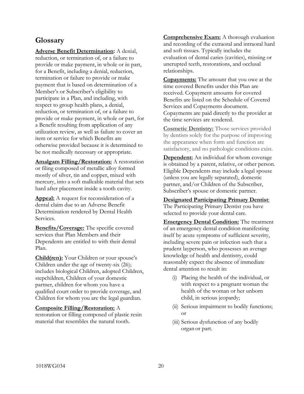### <span id="page-21-0"></span>**Glossary**

**Adverse Benefit Determination:** A denial, reduction, or termination of, or a failure to provide or make payment, in whole or in part, for a Benefit, including a denial, reduction, termination or failure to provide or make payment that is based on determination of a Member's or Subscriber's eligibility to participate in a Plan, and including, with respect to group health plans, a denial, reduction, or termination of, or a failure to provide or make payment, in whole or part, for a Benefit resulting from application of any utilization review, as well as failure to cover an item or service for which Benefits are otherwise provided because it is determined to be not medically necessary or appropriate.

**Amalgam Filling/Restoration:** A restoration or filing composed of metallic alloy formed mostly of silver, tin and copper, mixed with mercury, into a soft malleable material that sets hard after placement inside a tooth cavity.

**Appeal:** A request for reconsideration of a dental claim due to an Adverse Benefit Determination rendered by Dental Health Services.

**Benefits/Coverage:** The specific covered services that Plan Members and their Dependents are entitled to with their dental Plan.

**Child(ren):** Your Children or your spouse's Children under the age of twenty-six (26); includes biological Children, adopted Children, stepchildren, Children of your domestic partner, children for whom you have a qualified court order to provide coverage, and Children for whom you are the legal guardian.

#### **Composite Filling/Restoration:** A

restoration or filling composed of plastic resin material that resembles the natural tooth.

**Comprehensive Exam:** A thorough evaluation and recording of the extraoral and intraoral hard and soft tissues. Typically includes the evaluation of dental caries (cavities), missing or unerupted teeth, restorations, and occlusal relationships.

**Copayments:** The amount that you owe at the time covered Benefits under this Plan are received. Copayment amounts for covered Benefits are listed on the Schedule of Covered Services and Copayments document. Copayments are paid directly to the provider at the time services are rendered.

**Cosmetic Dentistry:** Those services provided by dentists solely for the purpose of improving the appearance when form and function are satisfactory, and no pathologic conditions exist.

**Dependent:** An individual for whom coverage is obtained by a parent, relative, or other person. Eligible Dependents may include a legal spouse (unless you are legally separated), domestic partner, and/or Children of the Subscriber, Subscriber's spouse or domestic partner.

**Designated Participating Primary Dentist**: The Participating Primary Dentist you have selected to provide your dental care.

**Emergency Dental Condition:** The treatment of an emergency dental condition manifesting itself by acute symptoms of sufficient severity, including severe pain or infection such that a prudent layperson, who possesses an average knowledge of health and dentistry, could reasonably expect the absence of immediate dental attention to result in:

- (i) Placing the health of the individual, or with respect to a pregnant woman the health of the woman or her unborn child, in serious jeopardy;
- (ii) Serious impairment to bodily functions; or
- (iii) Serious dysfunction of any bodily organ or part.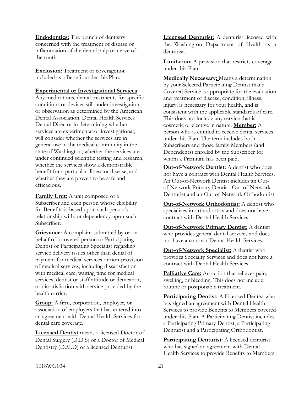**Endodontics:** The branch of dentistry concerned with the treatment of disease or inflammation of the dental pulp or nerve of the tooth.

**Exclusion:** Treatment or coveragenot included as a Benefit under this Plan.

#### **Experimental or Investigational Services:**

Any medications, dental treatments for specific conditions or devices still under investigation or observation as determined by the American Dental Association. Dental Health Services Dental Director in determining whether services are experimental or investigational, will consider whether the services are in general use in the medical community in the state of Washington, whether the services are under continued scientific testing and research, whether the services show a demonstrable benefit for a particular illness or disease, and whether they are proven to be safe and efficacious.

**Family Unit:** A unit composed of a Subscriber and each person whose eligibility for Benefits is based upon such person's relationship with, or dependency upon such Subscriber.

**Grievance:** A complaint submitted by or on behalf of a covered person or Participating Dentist or Participating Specialist regarding service delivery issues other than denial of payment for medical services or non-provision of medical services, including dissatisfaction with medical care, waiting time for medical services, dentist or staff attitude or demeanor, or dissatisfaction with service provided by the health carrier.

**Group:** A firm, corporation, employer, or association of employers that has entered into an agreement with Dental Health Services for dental care coverage.

**Licensed Dentist** means a licensed Doctor of Dental Surgery (D.D.S) or a Doctor of Medical Dentistry (D.M.D) or a licensed Denturist.

**Licensed Denturist:** A denturist licensed with the Washington Department of Health as a denturist.

**Limitation:** A provision that restricts coverage under this Plan.

**Medically Necessary:** Means a determination by your Selected Participating Dentist that a Covered Service is appropriate for the evaluation and treatment of disease, condition, illness, injury, is necessary for your health, and is consistent with the applicable standards of care. This does not include any service that is cosmetic or elective in nature. **Member:** A person who is entitled to receive dental services under this Plan. The term includes both Subscribers and those family Members (and Dependents) enrolled by the Subscriber for whom a Premium has been paid.

**Out-of-Network Dentist:** A dentist who does not have a contract with Dental Health Services. An Out-of-Network Dentist includes an Outof-Network Primary Dentist, Out-of-Network Denturist and an Out-of-Network Orthodontist.

**Out-of-Network Orthodontist:** A dentist who specializes in orthodontics and does not have a contract with Dental Health Services.

**Out-of-Network Primary Dentist**: A dentist who provides general dental services and does not have a contract Dental Health Services.

**Out-of-Network Specialist:** A dentist who provides Specialty Services and does not have a contract with Dental Health Services.

Palliative Care: An action that relieves pain, swelling, or bleeding. This does not include routine or postponable treatment.

**Participating Dentist:** A Licensed Dentist who has signed an agreement with Dental Health Services to provide Benefits to Members covered under this Plan. A Participating Dentist includes a Participating Primary Dentist, a Participating Denturist and a Participating Orthodontist.

**Participating Denturist**: A licensed denturist who has signed an agreement with Dental Health Services to provide Benefits to Members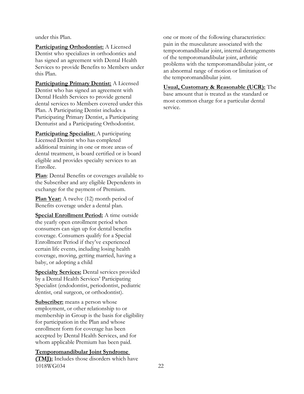under this Plan.

**Participating Orthodontist:** A Licensed Dentist who specializes in orthodontics and has signed an agreement with Dental Health Services to provide Benefits to Members under this Plan.

**Participating Primary Dentist:** A Licensed Dentist who has signed an agreement with Dental Health Services to provide general dental services to Members covered under this Plan. A Participating Dentist includes a Participating Primary Dentist, a Participating Denturist and a Participating Orthodontist.

**Participating Specialist:** A participating Licensed Dentist who has completed additional training in one or more areas of dental treatment, is board certified or is board eligible and provides specialty services to an Enrollee.

**Plan**: Dental Benefits or coverages available to the Subscriber and any eligible Dependents in exchange for the payment of Premium.

**Plan Year:** A twelve (12) month period of Benefits coverage under a dental plan.

**Special Enrollment Period:** A time outside the yearly open enrollment period when consumers can sign up for dental benefits coverage. Consumers qualify for a Special Enrollment Period if they've experienced certain life events, including losing health coverage, moving, getting married, having a baby, or adopting a child

**Specialty Services:** Dental services provided by a Dental Health Services' Participating Specialist (endodontist, periodontist, pediatric dentist, oral surgeon, or orthodontist).

**Subscriber:** means a person whose employment, or other relationship to or membership in Group is the basis for eligibility for participation in the Plan and whose enrollment form for coverage has been accepted by Dental Health Services, and for whom applicable Premium has been paid.

#### **Temporomandibular Joint Syndrome**

1018WG034 22 **(TMJ):** Includes those disorders which have

one or more of the following characteristics: pain in the musculature associated with the temporomandibular joint, internal derangements of the temporomandibular joint, arthritic problems with the temporomandibular joint, or an abnormal range of motion or limitation of the temporomandibular joint.

**Usual, Customary & Reasonable (UCR):** The base amount that is treated as the standard or most common charge for a particular dental service.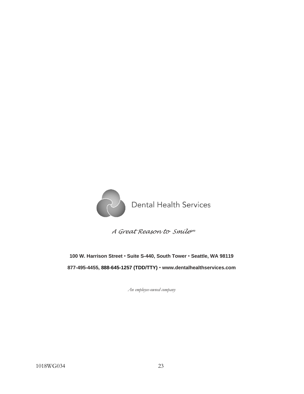

*A Great Reason to Smile sm*

**100 W. Harrison Street** • **Suite S-440, South Tower** • **Seattle, WA 98119 877-495-4455, 888-645-1257 (TDD/TTY)** • **[www.dentalhealthservices.com](http://www.dentalhealthservices.com/)**

*An employee-owned company*